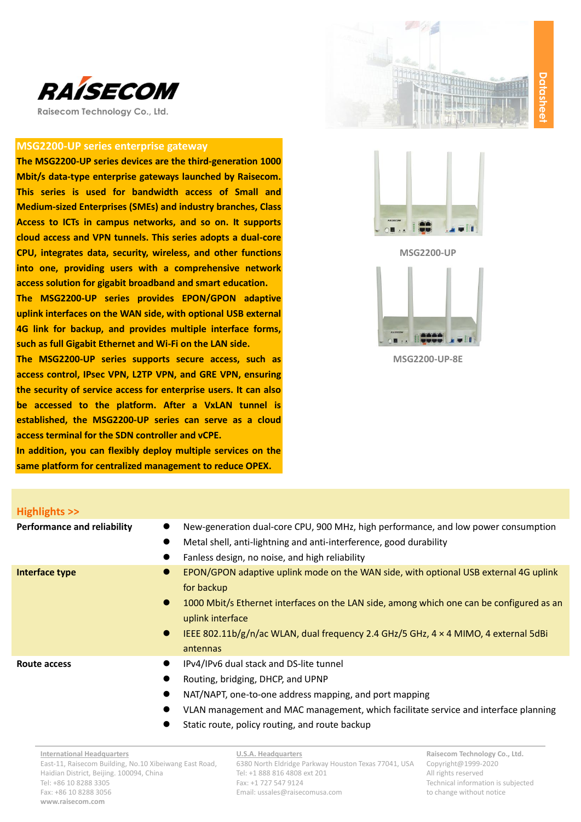

**Raisecom Technology Co., Ltd.**

## **MSG2200-UP series enterprise gateway**

**The MSG2200-UP series devices are the third-generation 1000 Mbit/s data-type enterprise gateways launched by Raisecom. This series is used for bandwidth access of Small and Medium-sized Enterprises (SMEs) and industry branches, Class Access to ICTs in campus networks, and so on. It supports cloud access and VPN tunnels. This series adopts a dual-core CPU, integrates data, security, wireless, and other functions into one, providing users with a comprehensive network access solution for gigabit broadband and smart education.**

**The MSG2200-UP series provides EPON/GPON adaptive uplink interfaces on the WAN side, with optional USB external 4G link for backup, and provides multiple interface forms, such as full Gigabit Ethernet and Wi-Fi on the LAN side.**

**The MSG2200-UP series supports secure access, such as access control, IPsec VPN, L2TP VPN, and GRE VPN, ensuring the security of service access for enterprise users. It can also be accessed to the platform. After a VxLAN tunnel is established, the MSG2200-UP series can serve as a cloud access terminal for the SDN controller and vCPE.**

**In addition, you can flexibly deploy multiple services on the same platform for centralized management to reduce OPEX.**





**MSG2200-UP** 



**MSG2200-UP-8E**

| Highlights >>                      |                                                                                                                                                                                                                                                                                                                                                        |
|------------------------------------|--------------------------------------------------------------------------------------------------------------------------------------------------------------------------------------------------------------------------------------------------------------------------------------------------------------------------------------------------------|
| <b>Performance and reliability</b> | New-generation dual-core CPU, 900 MHz, high performance, and low power consumption<br>Metal shell, anti-lightning and anti-interference, good durability<br>Fanless design, no noise, and high reliability                                                                                                                                             |
| Interface type                     | EPON/GPON adaptive uplink mode on the WAN side, with optional USB external 4G uplink<br>for backup<br>1000 Mbit/s Ethernet interfaces on the LAN side, among which one can be configured as an<br>$\bullet$<br>uplink interface<br>IEEE 802.11b/g/n/ac WLAN, dual frequency 2.4 GHz/5 GHz, $4 \times 4$ MIMO, 4 external 5dBi<br>$\bullet$<br>antennas |
| Route access                       | IPv4/IPv6 dual stack and DS-lite tunnel<br>Routing, bridging, DHCP, and UPNP<br>NAT/NAPT, one-to-one address mapping, and port mapping<br>VLAN management and MAC management, which facilitate service and interface planning<br>Static route, policy routing, and route backup                                                                        |

**International Headquarters** East-11, Raisecom Building, No.10 Xibeiwang East Road, Haidian District, Beijing. 100094, China Tel: +86 10 8288 3305 Fax: +86 10 8288 3056 **www.raisecom.com**

**U.S.A. Headquarters** 6380 North Eldridge Parkway Houston Texas 77041, USA Tel: +1 888 816 4808 ext 201 Fax: +1 727 547 9124 Email: ussales@raisecomusa.com

**Raisecom Technology Co., Ltd.** Copyright@1999-2020 All rights reserved Technical information is subjected to change without notice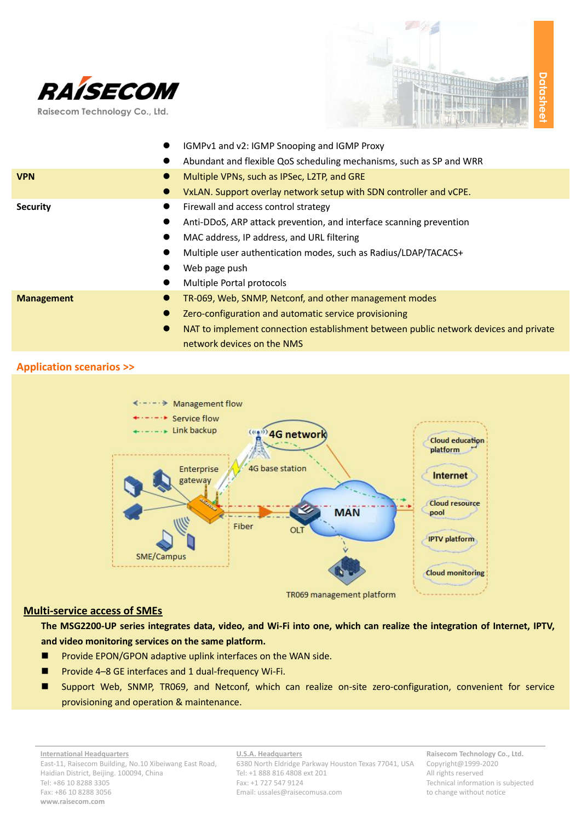



|                   | IGMPv1 and v2: IGMP Snooping and IGMP Proxy                                                       |  |
|-------------------|---------------------------------------------------------------------------------------------------|--|
|                   | Abundant and flexible QoS scheduling mechanisms, such as SP and WRR<br>$\bullet$                  |  |
| <b>VPN</b>        | Multiple VPNs, such as IPSec, L2TP, and GRE<br>$\bullet$                                          |  |
|                   | VxLAN. Support overlay network setup with SDN controller and vCPE.                                |  |
| <b>Security</b>   | Firewall and access control strategy<br>$\bullet$                                                 |  |
|                   | Anti-DDoS, ARP attack prevention, and interface scanning prevention                               |  |
|                   | MAC address, IP address, and URL filtering                                                        |  |
|                   | Multiple user authentication modes, such as Radius/LDAP/TACACS+                                   |  |
|                   | Web page push                                                                                     |  |
|                   | Multiple Portal protocols                                                                         |  |
| <b>Management</b> | TR-069, Web, SNMP, Netconf, and other management modes<br>$\bullet$                               |  |
|                   | Zero-configuration and automatic service provisioning                                             |  |
|                   | NAT to implement connection establishment between public network devices and private<br>$\bullet$ |  |
|                   | network devices on the NMS                                                                        |  |

## **Application scenarios >>**



## TR069 management platform

## **Multi-service access of SMEs**

**The MSG2200-UP series integrates data, video, and Wi-Fi into one, which can realize the integration of Internet, IPTV, and video monitoring services on the same platform.**

- **Provide EPON/GPON adaptive uplink interfaces on the WAN side.**
- Provide 4–8 GE interfaces and 1 dual-frequency Wi-Fi.
- Support Web, SNMP, TR069, and Netconf, which can realize on-site zero-configuration, convenient for service provisioning and operation & maintenance.

**U.S.A. Headquarters** 6380 North Eldridge Parkway Houston Texas 77041, USA Tel: +1 888 816 4808 ext 201 Fax: +1 727 547 9124 Email: ussales@raisecomusa.com

**Raisecom Technology Co., Ltd.** Copyright@1999-2020 All rights reserved Technical information is subjected to change without notice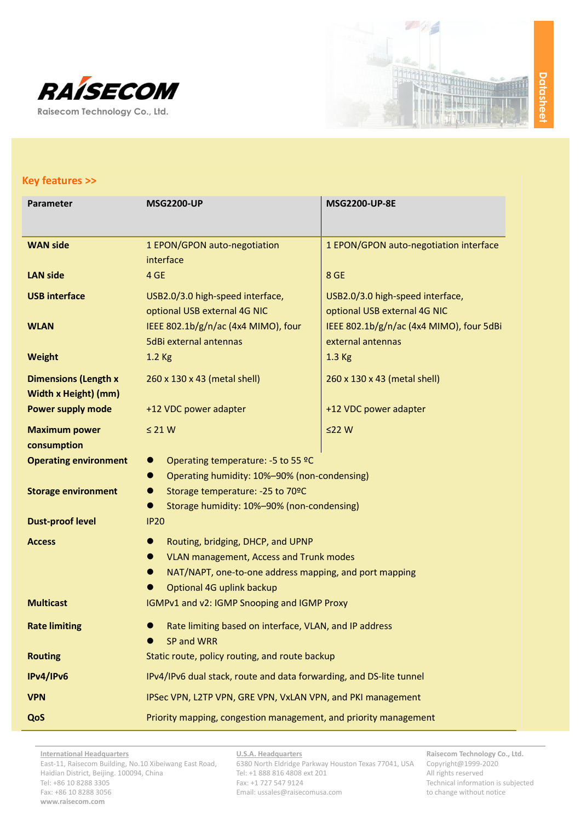



| Parameter                                                  | <b>MSG2200-UP</b>                                                                                            | <b>MSG2200-UP-8E</b>                                             |  |
|------------------------------------------------------------|--------------------------------------------------------------------------------------------------------------|------------------------------------------------------------------|--|
| <b>WAN side</b>                                            | 1 EPON/GPON auto-negotiation<br>interface                                                                    | 1 EPON/GPON auto-negotiation interface                           |  |
| <b>LAN side</b>                                            | 4 GE                                                                                                         | 8 GE                                                             |  |
| <b>USB interface</b>                                       | USB2.0/3.0 high-speed interface,<br>optional USB external 4G NIC                                             | USB2.0/3.0 high-speed interface,<br>optional USB external 4G NIC |  |
| <b>WLAN</b>                                                | IEEE 802.1b/g/n/ac (4x4 MIMO), four<br>5dBi external antennas                                                | IEEE 802.1b/g/n/ac (4x4 MIMO), four 5dBi<br>external antennas    |  |
| <b>Weight</b>                                              | 1.2 Kg                                                                                                       | 1.3 Kg                                                           |  |
| <b>Dimensions (Length x</b><br><b>Width x Height) (mm)</b> | 260 x 130 x 43 (metal shell)                                                                                 | 260 x 130 x 43 (metal shell)                                     |  |
| <b>Power supply mode</b>                                   | +12 VDC power adapter                                                                                        | +12 VDC power adapter                                            |  |
| <b>Maximum power</b><br>consumption                        | $\leq$ 21 W                                                                                                  | $\leq$ 22 W                                                      |  |
| <b>Operating environment</b>                               | Operating temperature: -5 to 55 °C<br>$\bullet$<br>Operating humidity: 10%-90% (non-condensing)<br>$\bullet$ |                                                                  |  |
| <b>Storage environment</b>                                 | Storage temperature: - 25 to 70°C<br>●<br>Storage humidity: 10%-90% (non-condensing)                         |                                                                  |  |
| <b>Dust-proof level</b>                                    | <b>IP20</b>                                                                                                  |                                                                  |  |
| <b>Access</b>                                              | Routing, bridging, DHCP, and UPNP<br><b>VLAN management, Access and Trunk modes</b><br>$\bullet$             |                                                                  |  |
|                                                            | NAT/NAPT, one-to-one address mapping, and port mapping                                                       |                                                                  |  |
|                                                            | Optional 4G uplink backup                                                                                    |                                                                  |  |
| <b>Multicast</b>                                           | IGMPv1 and v2: IGMP Snooping and IGMP Proxy                                                                  |                                                                  |  |
| <b>Rate limiting</b>                                       | Rate limiting based on interface, VLAN, and IP address<br>SP and WRR                                         |                                                                  |  |
| <b>Routing</b>                                             | Static route, policy routing, and route backup                                                               |                                                                  |  |
| IPv4/IPv6                                                  | IPv4/IPv6 dual stack, route and data forwarding, and DS-lite tunnel                                          |                                                                  |  |
| <b>VPN</b>                                                 | IPSec VPN, L2TP VPN, GRE VPN, VxLAN VPN, and PKI management                                                  |                                                                  |  |
| QoS                                                        | Priority mapping, congestion management, and priority management                                             |                                                                  |  |

**International Headquarters** East-11, Raisecom Building, No.10 Xibeiwang East Road, Haidian District, Beijing. 100094, China Tel: +86 10 8288 3305 Fax: +86 10 8288 3056 **www.raisecom.com**

**U.S.A. Headquarters**

6380 North Eldridge Parkway Houston Texas 77041, USA Tel: +1 888 816 4808 ext 201 Fax: +1 727 547 9124 Email: ussales@raisecomusa.com

**Raisecom Technology Co., Ltd.** Copyright@1999-2020 All rights reserved Technical information is subjected to change without notice